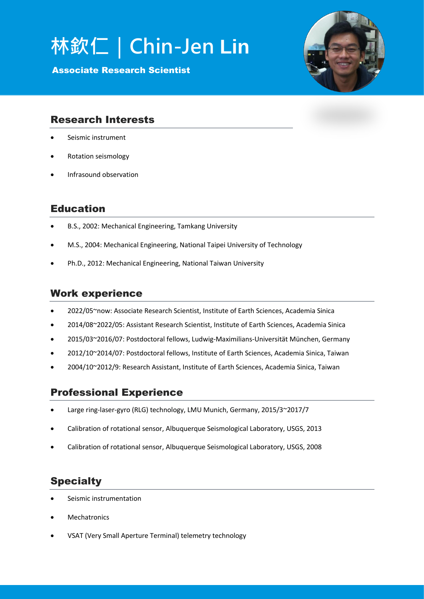# **林欽仁|Chin-Jen Lin**

Associate Research Scientist



## Research Interests

- Seismic instrument
- Rotation seismology
- Infrasound observation

## Education

- B.S., 2002: Mechanical Engineering, Tamkang University
- M.S., 2004: Mechanical Engineering, National Taipei University of Technology
- Ph.D., 2012: Mechanical Engineering, National Taiwan University

#### Work experience

- 2022/05~now: Associate Research Scientist, Institute of Earth Sciences, Academia Sinica
- 2014/08~2022/05: Assistant Research Scientist, Institute of Earth Sciences, Academia Sinica
- 2015/03~2016/07: Postdoctoral fellows, Ludwig-Maximilians-Universität München, Germany
- 2012/10~2014/07: Postdoctoral fellows, Institute of Earth Sciences, Academia Sinica, Taiwan
- 2004/10~2012/9: Research Assistant, Institute of Earth Sciences, Academia Sinica, Taiwan

#### Professional Experience

- Large ring-laser-gyro (RLG) technology, LMU Munich, Germany, 2015/3~2017/7
- Calibration of rotational sensor, Albuquerque Seismological Laboratory, USGS, 2013
- Calibration of rotational sensor, Albuquerque Seismological Laboratory, USGS, 2008

## **Specialty**

- Seismic instrumentation
- Mechatronics
- VSAT (Very Small Aperture Terminal) telemetry technology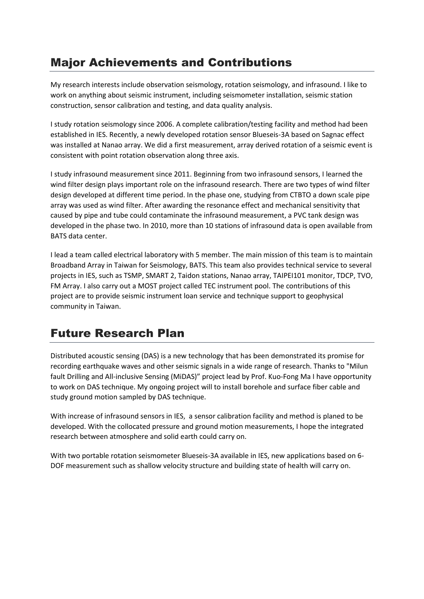# Major Achievements and Contributions

My research interests include observation seismology, rotation seismology, and infrasound. I like to work on anything about seismic instrument, including seismometer installation, seismic station construction, sensor calibration and testing, and data quality analysis.

I study rotation seismology since 2006. A complete calibration/testing facility and method had been established in IES. Recently, a newly developed rotation sensor Blueseis-3A based on Sagnac effect was installed at Nanao array. We did a first measurement, array derived rotation of a seismic event is consistent with point rotation observation along three axis.

I study infrasound measurement since 2011. Beginning from two infrasound sensors, I learned the wind filter design plays important role on the infrasound research. There are two types of wind filter design developed at different time period. In the phase one, studying from CTBTO a down scale pipe array was used as wind filter. After awarding the resonance effect and mechanical sensitivity that caused by pipe and tube could contaminate the infrasound measurement, a PVC tank design was developed in the phase two. In 2010, more than 10 stations of infrasound data is open available from BATS data center.

I lead a team called electrical laboratory with 5 member. The main mission of this team is to maintain Broadband Array in Taiwan for Seismology, BATS. This team also provides technical service to several projects in IES, such as TSMP, SMART 2, Taidon stations, Nanao array, TAIPEI101 monitor, TDCP, TVO, FM Array. I also carry out a MOST project called TEC instrument pool. The contributions of this project are to provide seismic instrument loan service and technique support to geophysical community in Taiwan.

# Future Research Plan

Distributed acoustic sensing (DAS) is a new technology that has been demonstrated its promise for recording earthquake waves and other seismic signals in a wide range of research. Thanks to "Milun fault Drilling and All-inclusive Sensing (MiDAS)" project lead by Prof. Kuo-Fong Ma I have opportunity to work on DAS technique. My ongoing project will to install borehole and surface fiber cable and study ground motion sampled by DAS technique.

With increase of infrasound sensors in IES, a sensor calibration facility and method is planed to be developed. With the collocated pressure and ground motion measurements, I hope the integrated research between atmosphere and solid earth could carry on.

With two portable rotation seismometer Blueseis-3A available in IES, new applications based on 6- DOF measurement such as shallow velocity structure and building state of health will carry on.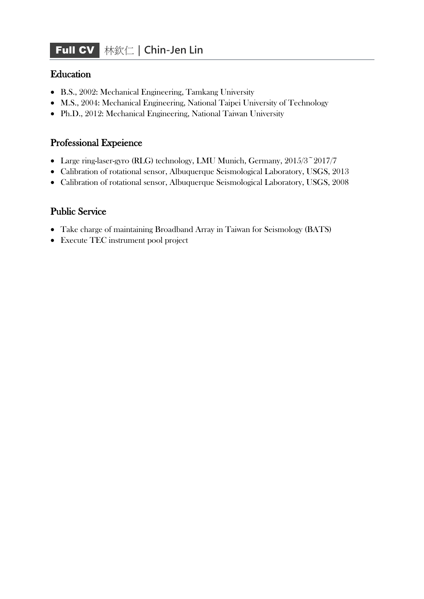## **Education**

- B.S., 2002: Mechanical Engineering, Tamkang University
- M.S., 2004: Mechanical Engineering, National Taipei University of Technology
- Ph.D., 2012: Mechanical Engineering, National Taiwan University

### Professional Expeience

- Large ring-laser-gyro (RLG) technology, LMU Munich, Germany, 2015/3~2017/7
- Calibration of rotational sensor, Albuquerque Seismological Laboratory, USGS, 2013
- Calibration of rotational sensor, Albuquerque Seismological Laboratory, USGS, 2008

## Public Service

- Take charge of maintaining Broadband Array in Taiwan for Seismology (BATS)
- Execute TEC instrument pool project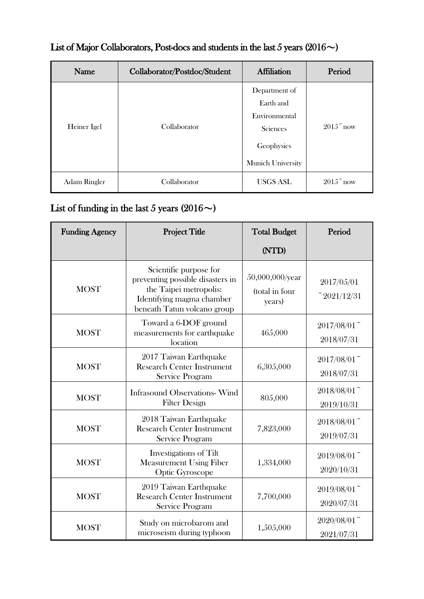| Name         | Collaborator/Postdoc/Student | <b>Affiliation</b>                                                                         | Period             |
|--------------|------------------------------|--------------------------------------------------------------------------------------------|--------------------|
| Heiner Igel  | Collaborator                 | Department of<br>Earth and<br>Environmental<br>Sciences<br>Geophysics<br>Munich University | $2015^{\circ}$ now |
| Adam Ringler | Collaborator                 | <b>USGS ASL</b>                                                                            | $2015$ now         |

## List of Major Collaborators, Post-docs and students in the last 5 years (2016 $\sim$ )

## List of funding in the last 5 years (2016 $\sim$ )

| <b>Funding Agency</b> | <b>Project Title</b>                                                                                                                             | <b>Total Budget</b>                         | Period                                  |
|-----------------------|--------------------------------------------------------------------------------------------------------------------------------------------------|---------------------------------------------|-----------------------------------------|
|                       |                                                                                                                                                  | (NTD)                                       |                                         |
| <b>MOST</b>           | Scientific purpose for<br>preventing possible disasters in<br>the Taipei metropolis:<br>Identifying magma chamber<br>beneath Tatun volcano group | 50,000,000/year<br>(total in four<br>years) | 2017/05/01<br>$^{\sim}2021/12/31$       |
| <b>MOST</b>           | Toward a 6-DOF ground<br>measurements for earthquake<br>location                                                                                 | 465,000                                     | $2017/08/01$ <sup>~</sup><br>2018/07/31 |
| <b>MOST</b>           | 2017 Taiwan Earthquake<br><b>Research Center Instrument</b><br>Service Program                                                                   | 6,305,000                                   | $2017/08/01$ <sup>~</sup><br>2018/07/31 |
| <b>MOST</b>           | <b>Infrasound Observations-Wind</b><br><b>Filter Design</b>                                                                                      | 805,000                                     | $2018/08/01$ <sup>~</sup><br>2019/10/31 |
| <b>MOST</b>           | 2018 Taiwan Earthquake<br><b>Research Center Instrument</b><br>Service Program                                                                   | 7,823,000                                   | $2018/08/01$ <sup>~</sup><br>2019/07/31 |
| <b>MOST</b>           | Investigations of Tilt<br><b>Measurement Using Fiber</b><br>Optic Gyroscope                                                                      | 1,334,000                                   | $2019/08/01$ <sup>~</sup><br>2020/10/31 |
| <b>MOST</b>           | 2019 Taiwan Earthquake<br><b>Research Center Instrument</b><br>Service Program                                                                   | 7,700,000                                   | $2019/08/01$ <sup>~</sup><br>2020/07/31 |
| <b>MOST</b>           | Study on microbarom and<br>microseism during typhoon                                                                                             | 1,505,000                                   | $2020/08/01$ <sup>~</sup><br>2021/07/31 |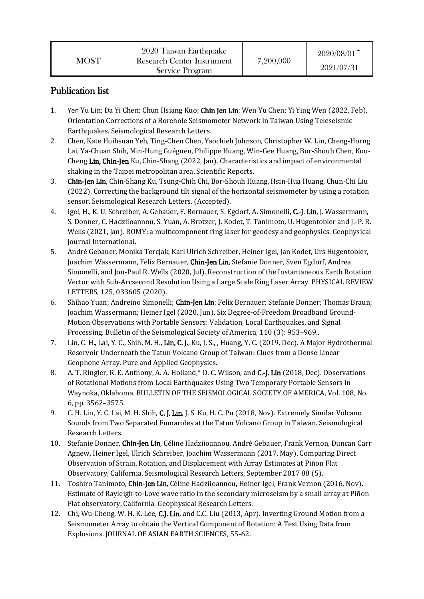| 2020 Taiwan Earthquake<br>Research Center Instrument<br>MOST<br>Service Program | 7,200,000 | $2020/08/01$ <sup>~</sup><br>2021/07/31 |
|---------------------------------------------------------------------------------|-----------|-----------------------------------------|
|---------------------------------------------------------------------------------|-----------|-----------------------------------------|

## Publication list

- 1. Yen Yu Lin; Da Yi Chen; Chun Hsiang Kuo; Chin Jen Lin; Wen Yu Chen; Yi Ying Wen (2022, Feb). Orientation Corrections of a Borehole Seismometer Network in Taiwan Using Teleseismic Earthquakes. Seismological Research Letters.
- 2. Chen, Kate Huihsuan Yeh, Ting-Chen Chen, Yaochieh Johnson, Christopher W. Lin, Cheng-Horng Lai, Ya-Chuan Shih, Min-Hung Guéguen, Philippe Huang, Win-Gee Huang, Bor-Shouh Chen, Kou-Cheng Lin, Chin-Jen Ku, Chin-Shang (2022, Jan). Characteristics and impact of environmental shaking in the Taipei metropolitan area. Scientific Reports.
- 3. Chin-Jen Lin, Chin-Shang Ku, Tsung-Chih Chi, Bor-Shouh Huang, Hsin-Hua Huang, Chun-Chi Liu (2022). Correcting the background tilt signal of the horizontal seismometer by using a rotation sensor. Seismological Research Letters. (Accepted).
- 4. Igel, H., K. U. Schreiber, A. Gebauer, F. Bernauer, S. Egdorf, A. Simonelli, C.-J. Lin, J. Wassermann, S. Donner, C. Hadziioannou, S. Yuan, A. Brotzer, J. Kodet, T. Tanimoto, U. Hugentobler and J.-P. R. Wells (2021, Jan). ROMY: a multicomponent ring laser for geodesy and geophysics. Geophysical Journal International.
- 5. André Gebauer, Monika Tercjak, Karl Ulrich Schreiber, Heiner Igel, Jan Kodet, Urs Hugentobler, Joachim Wassermann, Felix Bernauer, Chin-Jen Lin, Stefanie Donner, Sven Egdorf, Andrea Simonelli, and Jon-Paul R. Wells (2020, Jul). Reconstruction of the Instantaneous Earth Rotation Vector with Sub-Arcsecond Resolution Using a Large Scale Ring Laser Array. PHYSICAL REVIEW LETTERS, 125, 033605 (2020).
- 6. Shihao Yuan; Andreino Simonelli; Chin-Jen Lin; Felix Bernauer; Stefanie Donner; Thomas Braun; Joachim Wassermann; Heiner Igel (2020, Jun). Six Degree‐of‐Freedom Broadband Ground‐ Motion Observations with Portable Sensors: Validation, Local Earthquakes, and Signal Processing. Bulletin of the Seismological Society of America, 110 (3): 953–969..
- 7. Lin, C. H., Lai, Y. C., Shih, M. H., Lin, C. J., Ku, J. S., , Huang, Y. C. (2019, Dec). A Major Hydrothermal Reservoir Underneath the Tatun Volcano Group of Taiwan: Clues from a Dense Linear Geophone Array. Pure and Applied Geophysics.
- 8. A. T. Ringler, R. E. Anthony, A. A. Holland,\* D. C. Wilson, and C.-J. Lin (2018, Dec). Observations of Rotational Motions from Local Earthquakes Using Two Temporary Portable Sensors in Waynoka, Oklahoma. BULLETIN OF THE SEISMOLOGICAL SOCIETY OF AMERICA, Vol. 108, No. 6, pp. 3562–3575.
- 9. C. H. Lin, Y. C. Lai, M. H. Shih, C. J. Lin, J. S. Ku, H. C. Pu (2018, Nov). Extremely Similar Volcano Sounds from Two Separated Fumaroles at the Tatun Volcano Group in Taiwan. Seismological Research Letters.
- 10. Stefanie Donner, Chin-Jen Lin, Céline Hadziioannou, André Gebauer, Frank Vernon, Duncan Carr Agnew, Heiner Igel, Ulrich Schreiber, Joachim Wassermann (2017, May). Comparing Direct Observation of Strain, Rotation, and Displacement with Array Estimates at Piñon Flat Observatory, California. Seismological Research Letters, September 2017 88 (5).
- 11. Toshiro Tanimoto, Chin-Jen Lin, Céline Hadziioannou, Heiner Igel, Frank Vernon (2016, Nov). Estimate of Rayleigh-to-Love wave ratio in the secondary microseism by a small array at Piñon Flat observatory, California. Geophysical Research Letters.
- 12. Chi, Wu-Cheng, W. H. K. Lee, C.J. Lin, and C.C. Liu (2013, Apr). Inverting Ground Motion from a Seismometer Array to obtain the Vertical Component of Rotation: A Test Using Data from Explosions. JOURNAL OF ASIAN EARTH SCIENCES, 55-62.